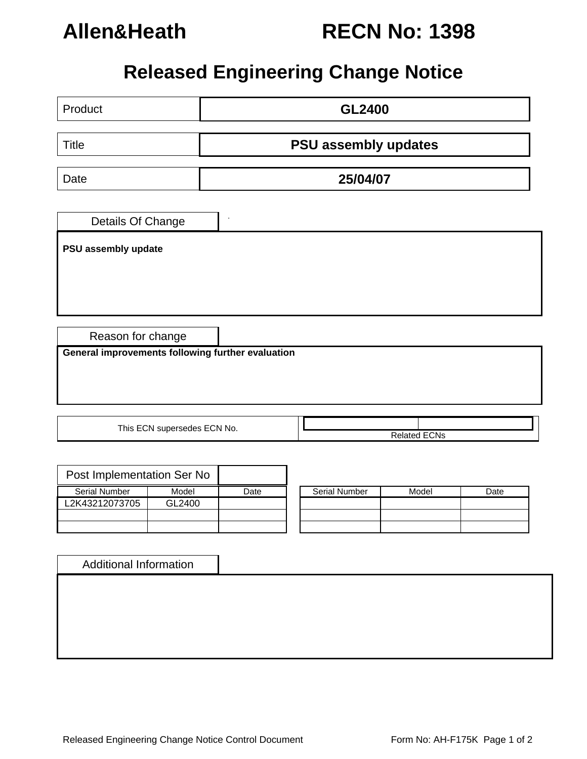

## **Allen&Heath RECN No: 1398**

## **Released Engineering Change Notice**

| Product                                           | <b>GL2400</b>               |
|---------------------------------------------------|-----------------------------|
| <b>Title</b>                                      | <b>PSU assembly updates</b> |
| Date                                              | 25/04/07                    |
| Details Of Change<br>PSU assembly update          | $\bullet$                   |
|                                                   |                             |
| Reason for change                                 |                             |
| General improvements following further evaluation |                             |
|                                                   |                             |
|                                                   |                             |

Related ECNs

| Post Implementation Ser No |        |      |                      |
|----------------------------|--------|------|----------------------|
| <b>Serial Number</b>       | Model  | Date | <b>Serial Number</b> |
| L2K43212073705             | GL2400 |      |                      |
|                            |        |      |                      |
|                            |        |      |                      |

| <b>Serial Number</b> | Model | Date |  |  |
|----------------------|-------|------|--|--|
|                      |       |      |  |  |
|                      |       |      |  |  |
|                      |       |      |  |  |

| <b>Additional Information</b> |  |
|-------------------------------|--|
|                               |  |
|                               |  |
|                               |  |
|                               |  |